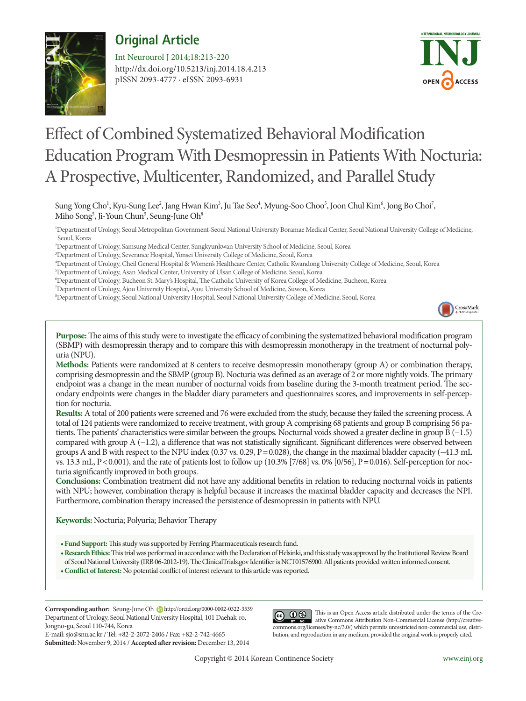# **Original Article**



http://dx.doi.org/10.5213/inj.2014.18.4.213 pISSN 2093-4777 · eISSN 2093-6931 Int Neurourol J 2014;18:213-220



# Effect of Combined Systematized Behavioral Modification Education Program With Desmopressin in Patients With Nocturia: A Prospective, Multicenter, Randomized, and Parallel Study

Sung Yong Cho<sup>1</sup>, Kyu-Sung Lee<sup>2</sup>, Jang Hwan Kim<sup>3</sup>, Ju Tae Seo<sup>4</sup>, Myung-Soo Choo<sup>5</sup>, Joon Chul Kim<sup>6</sup>, Jong Bo Choi<sup>7</sup>, Miho Song<sup>5</sup>, Ji-Youn Chun<sup>5</sup>, Seung-June Oh<sup>8</sup>

1 Department of Urology, Seoul Metropolitan Government-Seoul National University Boramae Medical Center, Seoul National University College of Medicine, Seoul, Korea

2 Department of Urology, Samsung Medical Center, Sungkyunkwan University School of Medicine, Seoul, Korea

3 Department of Urology, Severance Hospital, Yonsei University College of Medicine, Seoul, Korea

4 Department of Urology, Cheil General Hospital & Women's Healthcare Center, Catholic Kwandong University College of Medicine, Seoul, Korea

5 Department of Urology, Asan Medical Center, University of Ulsan College of Medicine, Seoul, Korea

6 Department of Urology, Bucheon St. Mary's Hospital, The Catholic University of Korea College of Medicine, Bucheon, Korea

7 Department of Urology, Ajou University Hospital, Ajou University School of Medicine, Suwon, Korea

8 Department of Urology, Seoul National University Hospital, Seoul National University College of Medicine, Seoul, Korea



**Purpose:** The aims of this study were to investigate the efficacy of combining the systematized behavioral modification program (SBMP) with desmopressin therapy and to compare this with desmopressin monotherapy in the treatment of nocturnal polyuria (NPU).

**Methods:** Patients were randomized at 8 centers to receive desmopressin monotherapy (group A) or combination therapy, comprising desmopressin and the SBMP (group B). Nocturia was defined as an average of 2 or more nightly voids. The primary endpoint was a change in the mean number of nocturnal voids from baseline during the 3-month treatment period. The secondary endpoints were changes in the bladder diary parameters and questionnaires scores, and improvements in self-perception for nocturia.

**Results:** A total of 200 patients were screened and 76 were excluded from the study, because they failed the screening process. A total of 124 patients were randomized to receive treatment, with group A comprising 68 patients and group B comprising 56 patients. The patients' characteristics were similar between the groups. Nocturnal voids showed a greater decline in group B (−1.5) compared with group A (−1.2), a difference that was not statistically significant. Significant differences were observed between groups A and B with respect to the NPU index (0.37 vs. 0.29, P=0.028), the change in the maximal bladder capacity (−41.3 mL vs. 13.3 mL,  $P < 0.001$ ), and the rate of patients lost to follow up (10.3% [7/68] vs. 0% [0/56],  $P = 0.016$ ). Self-perception for nocturia significantly improved in both groups.

**Conclusions:** Combination treatment did not have any additional benefits in relation to reducing nocturnal voids in patients with NPU; however, combination therapy is helpful because it increases the maximal bladder capacity and decreases the NPI. Furthermore, combination therapy increased the persistence of desmopressin in patients with NPU.

**Keywords:** Nocturia; Polyuria; Behavior Therapy

**•Fund Support:** This study was supported by Ferring Pharmaceuticals research fund.

- **Research Ethics:** This trial was performed in accordance with the Declaration of Helsinki, and this study was approved by the Institutional Review Board of Seoul National University (IRB 06-2012-19). The ClinicalTrials.gov Identifier is NCT01576900. All patients provided written informed consent.
- **•Conflict of Interest:** No potential conflict of interest relevant to this article was reported.

**Corresponding author:** Seung-June Oh http://orcid.org/0000-0002-0322-3539 Department of Urology, Seoul National University Hospital, 101 Daehak-ro, Jongno-gu, Seoul 110-744, Korea

E-mail: sjo@snu.ac.kr / Tel: +82-2-2072-2406 / Fax: +82-2-742-4665 **Submitted:** November 9, 2014 / **Accepted after revision:** December 13, 2014



This is an Open Access article distributed under the terms of the Creative Commons Attribution Non-Commercial License (http://creativecommons.org/licenses/by-nc/3.0/) which permits unrestricted non-commercial use, distribution, and reproduction in any medium, provided the original work is properly cited.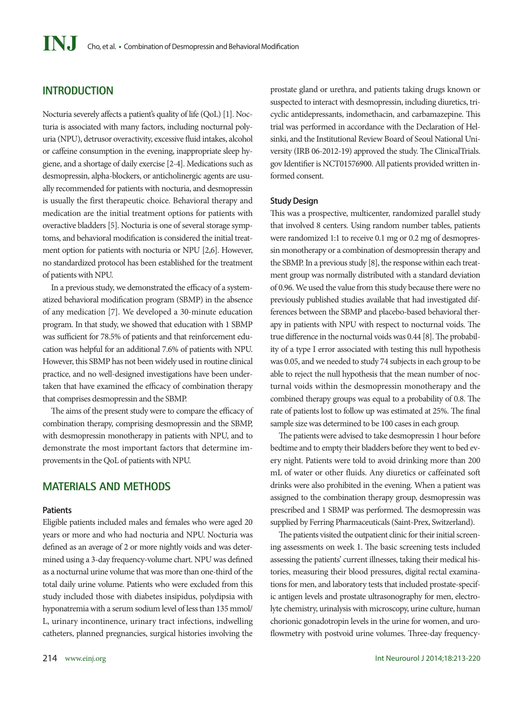# **INTRODUCTION**

Nocturia severely affects a patient's quality of life (QoL) [1]. Nocturia is associated with many factors, including nocturnal polyuria (NPU), detrusor overactivity, excessive fluid intakes, alcohol or caffeine consumption in the evening, inappropriate sleep hygiene, and a shortage of daily exercise [2-4]. Medications such as desmopressin, alpha-blockers, or anticholinergic agents are usually recommended for patients with nocturia, and desmopressin is usually the first therapeutic choice. Behavioral therapy and medication are the initial treatment options for patients with overactive bladders [5]. Nocturia is one of several storage symptoms, and behavioral modification is considered the initial treatment option for patients with nocturia or NPU [2,6]. However, no standardized protocol has been established for the treatment of patients with NPU.

In a previous study, we demonstrated the efficacy of a systematized behavioral modification program (SBMP) in the absence of any medication [7]. We developed a 30-minute education program. In that study, we showed that education with 1 SBMP was sufficient for 78.5% of patients and that reinforcement education was helpful for an additional 7.6% of patients with NPU. However, this SBMP has not been widely used in routine clinical practice, and no well-designed investigations have been undertaken that have examined the efficacy of combination therapy that comprises desmopressin and the SBMP.

The aims of the present study were to compare the efficacy of combination therapy, comprising desmopressin and the SBMP, with desmopressin monotherapy in patients with NPU, and to demonstrate the most important factors that determine improvements in the QoL of patients with NPU.

# **MATERIALS AND METHODS**

#### **Patients**

Eligible patients included males and females who were aged 20 years or more and who had nocturia and NPU. Nocturia was defined as an average of 2 or more nightly voids and was determined using a 3-day frequency-volume chart. NPU was defined as a nocturnal urine volume that was more than one-third of the total daily urine volume. Patients who were excluded from this study included those with diabetes insipidus, polydipsia with hyponatremia with a serum sodium level of less than 135 mmol/ L, urinary incontinence, urinary tract infections, indwelling catheters, planned pregnancies, surgical histories involving the

prostate gland or urethra, and patients taking drugs known or suspected to interact with desmopressin, including diuretics, tricyclic antidepressants, indomethacin, and carbamazepine. This trial was performed in accordance with the Declaration of Helsinki, and the Institutional Review Board of Seoul National University (IRB 06-2012-19) approved the study. The ClinicalTrials. gov Identifier is NCT01576900. All patients provided written informed consent.

#### **Study Design**

This was a prospective, multicenter, randomized parallel study that involved 8 centers. Using random number tables, patients were randomized 1:1 to receive 0.1 mg or 0.2 mg of desmopressin monotherapy or a combination of desmopressin therapy and the SBMP. In a previous study [8], the response within each treatment group was normally distributed with a standard deviation of 0.96. We used the value from this study because there were no previously published studies available that had investigated differences between the SBMP and placebo-based behavioral therapy in patients with NPU with respect to nocturnal voids. The true difference in the nocturnal voids was 0.44 [8]. The probability of a type I error associated with testing this null hypothesis was 0.05, and we needed to study 74 subjects in each group to be able to reject the null hypothesis that the mean number of nocturnal voids within the desmopressin monotherapy and the combined therapy groups was equal to a probability of 0.8. The rate of patients lost to follow up was estimated at 25%. The final sample size was determined to be 100 cases in each group.

The patients were advised to take desmopressin 1 hour before bedtime and to empty their bladders before they went to bed every night. Patients were told to avoid drinking more than 200 mL of water or other fluids. Any diuretics or caffeinated soft drinks were also prohibited in the evening. When a patient was assigned to the combination therapy group, desmopressin was prescribed and 1 SBMP was performed. The desmopressin was supplied by Ferring Pharmaceuticals (Saint-Prex, Switzerland).

The patients visited the outpatient clinic for their initial screening assessments on week 1. The basic screening tests included assessing the patients' current illnesses, taking their medical histories, measuring their blood pressures, digital rectal examinations for men, and laboratory tests that included prostate-specific antigen levels and prostate ultrasonography for men, electrolyte chemistry, urinalysis with microscopy, urine culture, human chorionic gonadotropin levels in the urine for women, and uroflowmetry with postvoid urine volumes. Three-day frequency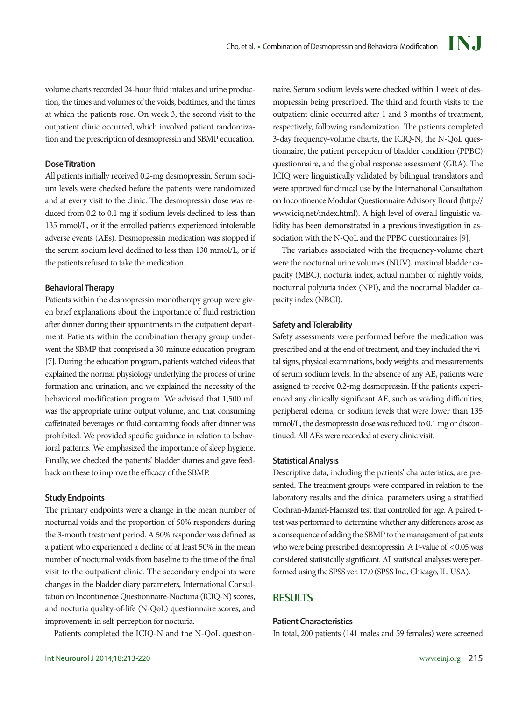volume charts recorded 24-hour fluid intakes and urine production, the times and volumes of the voids, bedtimes, and the times at which the patients rose. On week 3, the second visit to the outpatient clinic occurred, which involved patient randomization and the prescription of desmopressin and SBMP education.

#### **Dose Titration**

All patients initially received 0.2-mg desmopressin. Serum sodium levels were checked before the patients were randomized and at every visit to the clinic. The desmopressin dose was reduced from 0.2 to 0.1 mg if sodium levels declined to less than 135 mmol/L, or if the enrolled patients experienced intolerable adverse events (AEs). Desmopressin medication was stopped if the serum sodium level declined to less than 130 mmol/L, or if the patients refused to take the medication.

#### **Behavioral Therapy**

Patients within the desmopressin monotherapy group were given brief explanations about the importance of fluid restriction after dinner during their appointments in the outpatient department. Patients within the combination therapy group underwent the SBMP that comprised a 30-minute education program [7]. During the education program, patients watched videos that explained the normal physiology underlying the process of urine formation and urination, and we explained the necessity of the behavioral modification program. We advised that 1,500 mL was the appropriate urine output volume, and that consuming caffeinated beverages or fluid-containing foods after dinner was prohibited. We provided specific guidance in relation to behavioral patterns. We emphasized the importance of sleep hygiene. Finally, we checked the patients' bladder diaries and gave feedback on these to improve the efficacy of the SBMP.

#### **Study Endpoints**

The primary endpoints were a change in the mean number of nocturnal voids and the proportion of 50% responders during the 3-month treatment period. A 50% responder was defined as a patient who experienced a decline of at least 50% in the mean number of nocturnal voids from baseline to the time of the final visit to the outpatient clinic. The secondary endpoints were changes in the bladder diary parameters, International Consultation on Incontinence Questionnaire-Nocturia (ICIQ-N) scores, and nocturia quality-of-life (N-QoL) questionnaire scores, and improvements in self-perception for nocturia.

Patients completed the ICIQ-N and the N-QoL question-

naire. Serum sodium levels were checked within 1 week of desmopressin being prescribed. The third and fourth visits to the outpatient clinic occurred after 1 and 3 months of treatment, respectively, following randomization. The patients completed 3-day frequency-volume charts, the ICIQ-N, the N-QoL questionnaire, the patient perception of bladder condition (PPBC) questionnaire, and the global response assessment (GRA). The ICIQ were linguistically validated by bilingual translators and were approved for clinical use by the International Consultation on Incontinence Modular Questionnaire Advisory Board (http:// www.iciq.net/index.html). A high level of overall linguistic validity has been demonstrated in a previous investigation in association with the N-QoL and the PPBC questionnaires [9].

The variables associated with the frequency-volume chart were the nocturnal urine volumes (NUV), maximal bladder capacity (MBC), nocturia index, actual number of nightly voids, nocturnal polyuria index (NPI), and the nocturnal bladder capacity index (NBCI).

#### **Safety and Tolerability**

Safety assessments were performed before the medication was prescribed and at the end of treatment, and they included the vital signs, physical examinations, body weights, and measurements of serum sodium levels. In the absence of any AE, patients were assigned to receive 0.2-mg desmopressin. If the patients experienced any clinically significant AE, such as voiding difficulties, peripheral edema, or sodium levels that were lower than 135 mmol/L, the desmopressin dose was reduced to 0.1 mg or discontinued. All AEs were recorded at every clinic visit.

#### **Statistical Analysis**

Descriptive data, including the patients' characteristics, are presented. The treatment groups were compared in relation to the laboratory results and the clinical parameters using a stratified Cochran-Mantel-Haenszel test that controlled for age. A paired ttest was performed to determine whether any differences arose as a consequence of adding the SBMP to the management of patients who were being prescribed desmopressin. A P-value of  $< 0.05$  was considered statistically significant. All statistical analyses were performed using the SPSS ver. 17.0 (SPSS Inc., Chicago, IL, USA).

# **RESULTS**

#### **Patient Characteristics**

In total, 200 patients (141 males and 59 females) were screened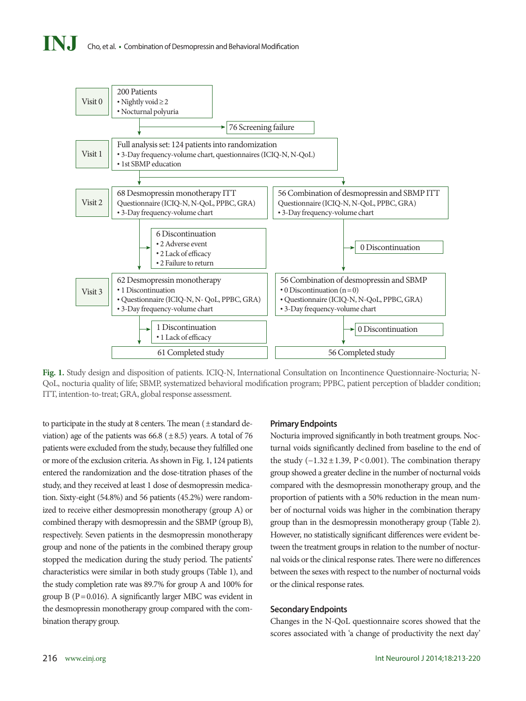

**Fig. 1.** Study design and disposition of patients. ICIQ-N, International Consultation on Incontinence Questionnaire-Nocturia; N-QoL, nocturia quality of life; SBMP, systematized behavioral modification program; PPBC, patient perception of bladder condition; ITT, intention-to-treat; GRA, global response assessment.

to participate in the study at 8 centers. The mean (±standard deviation) age of the patients was  $66.8 \, (\pm 8.5)$  years. A total of 76 patients were excluded from the study, because they fulfilled one or more of the exclusion criteria. As shown in Fig. 1, 124 patients entered the randomization and the dose-titration phases of the study, and they received at least 1 dose of desmopressin medication. Sixty-eight (54.8%) and 56 patients (45.2%) were randomized to receive either desmopressin monotherapy (group A) or combined therapy with desmopressin and the SBMP (group B), respectively. Seven patients in the desmopressin monotherapy group and none of the patients in the combined therapy group stopped the medication during the study period. The patients' characteristics were similar in both study groups (Table 1), and the study completion rate was 89.7% for group A and 100% for group B ( $P = 0.016$ ). A significantly larger MBC was evident in the desmopressin monotherapy group compared with the combination therapy group.

#### **Primary Endpoints**

Nocturia improved significantly in both treatment groups. Nocturnal voids significantly declined from baseline to the end of the study  $(-1.32 \pm 1.39, P < 0.001)$ . The combination therapy group showed a greater decline in the number of nocturnal voids compared with the desmopressin monotherapy group, and the proportion of patients with a 50% reduction in the mean number of nocturnal voids was higher in the combination therapy group than in the desmopressin monotherapy group (Table 2). However, no statistically significant differences were evident between the treatment groups in relation to the number of nocturnal voids or the clinical response rates. There were no differences between the sexes with respect to the number of nocturnal voids or the clinical response rates.

#### **Secondary Endpoints**

Changes in the N-QoL questionnaire scores showed that the scores associated with 'a change of productivity the next day'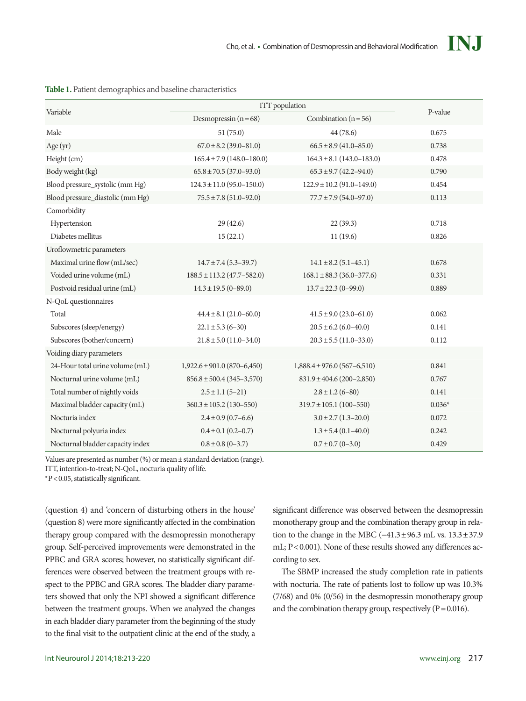

| Variable                         | ITT population                    |                                   |          |
|----------------------------------|-----------------------------------|-----------------------------------|----------|
|                                  | Desmopressin $(n=68)$             | Combination $(n=56)$              | P-value  |
| Male                             | 51(75.0)                          | 44 (78.6)                         | 0.675    |
| Age (yr)                         | $67.0 \pm 8.2$ (39.0-81.0)        | $66.5 \pm 8.9$ (41.0-85.0)        | 0.738    |
| Height (cm)                      | $165.4 \pm 7.9$ (148.0-180.0)     | $164.3 \pm 8.1 (143.0 - 183.0)$   | 0.478    |
| Body weight (kg)                 | $65.8 \pm 70.5 (37.0 - 93.0)$     | $65.3 \pm 9.7 (42.2 - 94.0)$      | 0.790    |
| Blood pressure_systolic (mm Hg)  | $124.3 \pm 11.0$ (95.0-150.0)     | $122.9 \pm 10.2$ (91.0-149.0)     | 0.454    |
| Blood pressure_diastolic (mm Hg) | $75.5 \pm 7.8 (51.0 - 92.0)$      | $77.7 \pm 7.9(54.0 - 97.0)$       | 0.113    |
| Comorbidity                      |                                   |                                   |          |
| Hypertension                     | 29(42.6)                          | 22(39.3)                          | 0.718    |
| Diabetes mellitus                | 15(22.1)                          | 11(19.6)                          | 0.826    |
| Uroflowmetric parameters         |                                   |                                   |          |
| Maximal urine flow (mL/sec)      | $14.7 \pm 7.4 (5.3 - 39.7)$       | $14.1 \pm 8.2$ (5.1-45.1)         | 0.678    |
| Voided urine volume (mL)         | $188.5 \pm 113.2$ (47.7-582.0)    | $168.1 \pm 88.3 (36.0 - 377.6)$   | 0.331    |
| Postvoid residual urine (mL)     | $14.3 \pm 19.5$ (0-89.0)          | $13.7 \pm 22.3$ (0-99.0)          | 0.889    |
| N-QoL questionnaires             |                                   |                                   |          |
| Total                            | $44.4 \pm 8.1 (21.0 - 60.0)$      | $41.5 \pm 9.0 (23.0 - 61.0)$      | 0.062    |
| Subscores (sleep/energy)         | $22.1 \pm 5.3(6-30)$              | $20.5 \pm 6.2$ (6.0-40.0)         | 0.141    |
| Subscores (bother/concern)       | $21.8 \pm 5.0$ (11.0-34.0)        | $20.3 \pm 5.5$ (11.0-33.0)        | 0.112    |
| Voiding diary parameters         |                                   |                                   |          |
| 24-Hour total urine volume (mL)  | $1,922.6 \pm 901.0 (870 - 6,450)$ | $1,888.4 \pm 976.0 (567 - 6,510)$ | 0.841    |
| Nocturnal urine volume (mL)      | $856.8 \pm 500.4 (345 - 3,570)$   | $831.9 \pm 404.6$ (200-2,850)     | 0.767    |
| Total number of nightly voids    | $2.5 \pm 1.1 (5 - 21)$            | $2.8 \pm 1.2$ (6-80)              | 0.141    |
| Maximal bladder capacity (mL)    | $360.3 \pm 105.2$ (130-550)       | $319.7 \pm 105.1$ (100-550)       | $0.036*$ |
| Nocturia index                   | $2.4 \pm 0.9$ (0.7-6.6)           | $3.0 \pm 2.7(1.3 - 20.0)$         | 0.072    |
| Nocturnal polyuria index         | $0.4 \pm 0.1$ (0.2-0.7)           | $1.3 \pm 5.4 (0.1 - 40.0)$        | 0.242    |
| Nocturnal bladder capacity index | $0.8 \pm 0.8$ (0-3.7)             | $0.7 \pm 0.7$ (0-3.0)             | 0.429    |

| Table 1. Patient demographics and baseline characteristics |  |
|------------------------------------------------------------|--|
|------------------------------------------------------------|--|

Values are presented as number  $(\%)$  or mean  $\pm$  standard deviation (range).

ITT, intention-to-treat; N-QoL, nocturia quality of life.

\*P<0.05, statistically significant.

(question 4) and 'concern of disturbing others in the house' (question 8) were more significantly affected in the combination therapy group compared with the desmopressin monotherapy group. Self-perceived improvements were demonstrated in the PPBC and GRA scores; however, no statistically significant differences were observed between the treatment groups with respect to the PPBC and GRA scores. The bladder diary parameters showed that only the NPI showed a significant difference between the treatment groups. When we analyzed the changes in each bladder diary parameter from the beginning of the study to the final visit to the outpatient clinic at the end of the study, a

significant difference was observed between the desmopressin monotherapy group and the combination therapy group in relation to the change in the MBC (−41.3±96.3 mL vs. 13.3±37.9 mL; P < 0.001). None of these results showed any differences according to sex.

The SBMP increased the study completion rate in patients with nocturia. The rate of patients lost to follow up was 10.3% (7/68) and 0% (0/56) in the desmopressin monotherapy group and the combination therapy group, respectively  $(P=0.016)$ .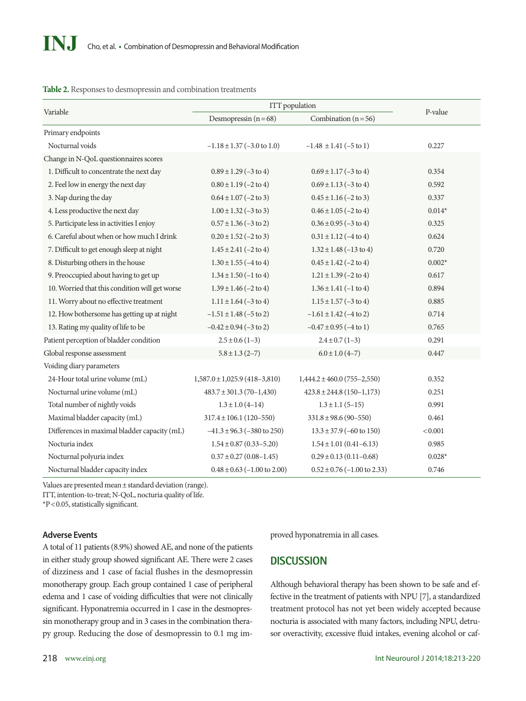|                                                | ITT population                      |                                     |          |
|------------------------------------------------|-------------------------------------|-------------------------------------|----------|
| Variable                                       | Desmopressin $(n=68)$               | Combination ( $n = 56$ )            | P-value  |
| Primary endpoints                              |                                     |                                     |          |
| Nocturnal voids                                | $-1.18 \pm 1.37$ (-3.0 to 1.0)      | $-1.48 \pm 1.41 (-5 \text{ to } 1)$ | 0.227    |
| Change in N-QoL questionnaires scores          |                                     |                                     |          |
| 1. Difficult to concentrate the next day       | $0.89 \pm 1.29$ (-3 to 4)           | $0.69 \pm 1.17$ (-3 to 4)           | 0.354    |
| 2. Feel low in energy the next day             | $0.80 \pm 1.19 (-2 to 4)$           | $0.69 \pm 1.13$ (-3 to 4)           | 0.592    |
| 3. Nap during the day                          | $0.64 \pm 1.07$ (-2 to 3)           | $0.45 \pm 1.16 (-2 to 3)$           | 0.337    |
| 4. Less productive the next day                | $1.00 \pm 1.32$ (-3 to 3)           | $0.46 \pm 1.05$ (-2 to 4)           | $0.014*$ |
| 5. Participate less in activities I enjoy      | $0.57 \pm 1.36 (-3 \text{ to } 2)$  | $0.36 \pm 0.95$ (-3 to 4)           | 0.325    |
| 6. Careful about when or how much I drink      | $0.20 \pm 1.52$ (-2 to 3)           | $0.31 \pm 1.12$ (-4 to 4)           | 0.624    |
| 7. Difficult to get enough sleep at night      | $1.45 \pm 2.41 (-2 to 4)$           | $1.32 \pm 1.48$ (-13 to 4)          | 0.720    |
| 8. Disturbing others in the house              | $1.30 \pm 1.55$ (-4 to 4)           | $0.45 \pm 1.42$ (-2 to 4)           | $0.002*$ |
| 9. Preoccupied about having to get up          | $1.34 \pm 1.50$ (-1 to 4)           | $1.21 \pm 1.39$ (-2 to 4)           | 0.617    |
| 10. Worried that this condition will get worse | $1.39 \pm 1.46 (-2 to 4)$           | $1.36 \pm 1.41 (-1 to 4)$           | 0.894    |
| 11. Worry about no effective treatment         | $1.11 \pm 1.64$ (-3 to 4)           | $1.15 \pm 1.57$ (-3 to 4)           | 0.885    |
| 12. How bothersome has getting up at night     | $-1.51 \pm 1.48 (-5 \text{ to } 2)$ | $-1.61 \pm 1.42$ ( $-4$ to 2)       | 0.714    |
| 13. Rating my quality of life to be            | $-0.42 \pm 0.94 (-3 \text{ to } 2)$ | $-0.47 \pm 0.95$ ( $-4$ to 1)       | 0.765    |
| Patient perception of bladder condition        | $2.5 \pm 0.6(1-3)$                  | $2.4 \pm 0.7(1-3)$                  | 0.291    |
| Global response assessment                     | $5.8 \pm 1.3$ (2-7)                 | $6.0 \pm 1.0$ (4-7)                 | 0.447    |
| Voiding diary parameters                       |                                     |                                     |          |
| 24-Hour total urine volume (mL)                | $1,587.0 \pm 1,025.9$ (418-3,810)   | $1,444.2 \pm 460.0$ (755-2,550)     | 0.352    |
| Nocturnal urine volume (mL)                    | $483.7 \pm 301.3 (70 - 1,430)$      | $423.8 \pm 244.8$ (150-1,173)       | 0.251    |
| Total number of nightly voids                  | $1.3 \pm 1.0$ (4-14)                | $1.3 \pm 1.1$ (5-15)                | 0.991    |
| Maximal bladder capacity (mL)                  | $317.4 \pm 106.1$ (120-550)         | $331.8 \pm 98.6$ (90-550)           | 0.461    |
| Differences in maximal bladder capacity (mL)   | $-41.3 \pm 96.3$ ( $-380$ to 250)   | $13.3 \pm 37.9$ (-60 to 150)        | < 0.001  |
| Nocturia index                                 | $1.54 \pm 0.87$ (0.33-5.20)         | $1.54 \pm 1.01 (0.41 - 6.13)$       | 0.985    |
| Nocturnal polyuria index                       | $0.37 \pm 0.27$ (0.08-1.45)         | $0.29 \pm 0.13$ (0.11-0.68)         | $0.028*$ |
| Nocturnal bladder capacity index               | $0.48 \pm 0.63$ (-1.00 to 2.00)     | $0.52 \pm 0.76$ (-1.00 to 2.33)     | 0.746    |

**Table 2.** Responses to desmopressin and combination treatments

Values are presented mean±standard deviation (range).

ITT, intention-to-treat; N-QoL, nocturia quality of life.

 $*P$  < 0.05, statistically significant.

#### **Adverse Events**

A total of 11 patients (8.9%) showed AE, and none of the patients in either study group showed significant AE. There were 2 cases of dizziness and 1 case of facial flushes in the desmopressin monotherapy group. Each group contained 1 case of peripheral edema and 1 case of voiding difficulties that were not clinically significant. Hyponatremia occurred in 1 case in the desmopressin monotherapy group and in 3 cases in the combination therapy group. Reducing the dose of desmopressin to 0.1 mg improved hyponatremia in all cases.

# **DISCUSSION**

Although behavioral therapy has been shown to be safe and effective in the treatment of patients with NPU [7], a standardized treatment protocol has not yet been widely accepted because nocturia is associated with many factors, including NPU, detrusor overactivity, excessive fluid intakes, evening alcohol or caf-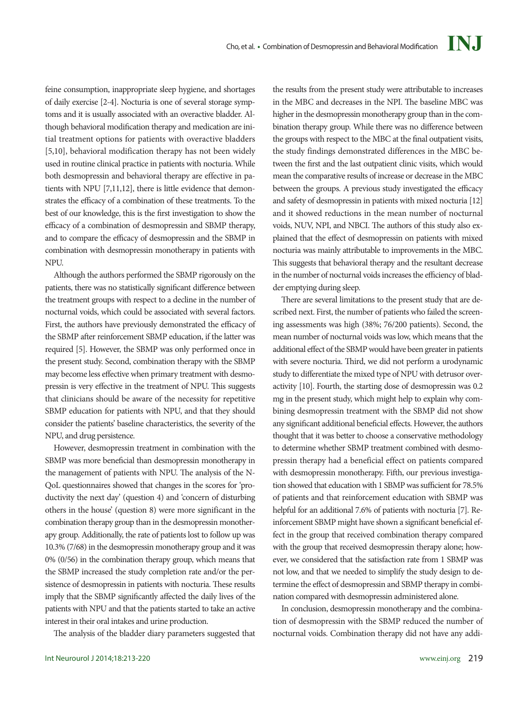feine consumption, inappropriate sleep hygiene, and shortages of daily exercise [2-4]. Nocturia is one of several storage symptoms and it is usually associated with an overactive bladder. Although behavioral modification therapy and medication are initial treatment options for patients with overactive bladders [5,10], behavioral modification therapy has not been widely used in routine clinical practice in patients with nocturia. While both desmopressin and behavioral therapy are effective in patients with NPU [7,11,12], there is little evidence that demonstrates the efficacy of a combination of these treatments. To the best of our knowledge, this is the first investigation to show the efficacy of a combination of desmopressin and SBMP therapy, and to compare the efficacy of desmopressin and the SBMP in combination with desmopressin monotherapy in patients with NPU.

Although the authors performed the SBMP rigorously on the patients, there was no statistically significant difference between the treatment groups with respect to a decline in the number of nocturnal voids, which could be associated with several factors. First, the authors have previously demonstrated the efficacy of the SBMP after reinforcement SBMP education, if the latter was required [5]. However, the SBMP was only performed once in the present study. Second, combination therapy with the SBMP may become less effective when primary treatment with desmopressin is very effective in the treatment of NPU. This suggests that clinicians should be aware of the necessity for repetitive SBMP education for patients with NPU, and that they should consider the patients' baseline characteristics, the severity of the NPU, and drug persistence.

However, desmopressin treatment in combination with the SBMP was more beneficial than desmopressin monotherapy in the management of patients with NPU. The analysis of the N-QoL questionnaires showed that changes in the scores for 'productivity the next day' (question 4) and 'concern of disturbing others in the house' (question 8) were more significant in the combination therapy group than in the desmopressin monotherapy group. Additionally, the rate of patients lost to follow up was 10.3% (7/68) in the desmopressin monotherapy group and it was 0% (0/56) in the combination therapy group, which means that the SBMP increased the study completion rate and/or the persistence of desmopressin in patients with nocturia. These results imply that the SBMP significantly affected the daily lives of the patients with NPU and that the patients started to take an active interest in their oral intakes and urine production.

The analysis of the bladder diary parameters suggested that

the results from the present study were attributable to increases in the MBC and decreases in the NPI. The baseline MBC was higher in the desmopressin monotherapy group than in the combination therapy group. While there was no difference between the groups with respect to the MBC at the final outpatient visits, the study findings demonstrated differences in the MBC between the first and the last outpatient clinic visits, which would mean the comparative results of increase or decrease in the MBC between the groups. A previous study investigated the efficacy and safety of desmopressin in patients with mixed nocturia [12] and it showed reductions in the mean number of nocturnal voids, NUV, NPI, and NBCI. The authors of this study also explained that the effect of desmopressin on patients with mixed nocturia was mainly attributable to improvements in the MBC. This suggests that behavioral therapy and the resultant decrease in the number of nocturnal voids increases the efficiency of bladder emptying during sleep.

There are several limitations to the present study that are described next. First, the number of patients who failed the screening assessments was high (38%; 76/200 patients). Second, the mean number of nocturnal voids was low, which means that the additional effect of the SBMP would have been greater in patients with severe nocturia. Third, we did not perform a urodynamic study to differentiate the mixed type of NPU with detrusor overactivity [10]. Fourth, the starting dose of desmopressin was 0.2 mg in the present study, which might help to explain why combining desmopressin treatment with the SBMP did not show any significant additional beneficial effects. However, the authors thought that it was better to choose a conservative methodology to determine whether SBMP treatment combined with desmopressin therapy had a beneficial effect on patients compared with desmopressin monotherapy. Fifth, our previous investigation showed that education with 1 SBMP was sufficient for 78.5% of patients and that reinforcement education with SBMP was helpful for an additional 7.6% of patients with nocturia [7]. Reinforcement SBMP might have shown a significant beneficial effect in the group that received combination therapy compared with the group that received desmopressin therapy alone; however, we considered that the satisfaction rate from 1 SBMP was not low, and that we needed to simplify the study design to determine the effect of desmopressin and SBMP therapy in combination compared with desmopressin administered alone.

In conclusion, desmopressin monotherapy and the combination of desmopressin with the SBMP reduced the number of nocturnal voids. Combination therapy did not have any addi